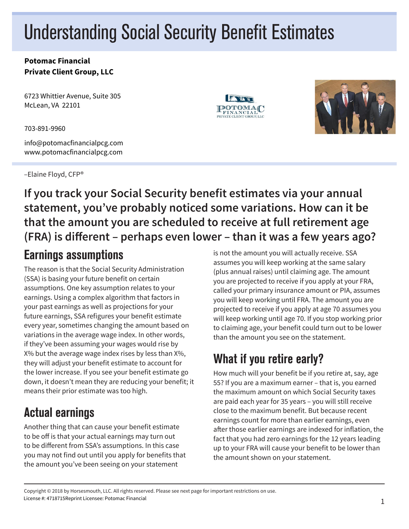# Understanding Social Security Benefit Estimates

#### **Potomac Financial Private Client Group, LLC**

6723 Whittier Avenue, Suite 305 McLean, VA 22101

703-891-9960

info@potomacfinancialpcg.com www.potomacfinancialpcg.com

–Elaine Floyd, CFP®





**If you track your Social Security benefit estimates via your annual statement, you've probably noticed some variations. How can it be that the amount you are scheduled to receive at full retirement age (FRA) is different – perhaps even lower – than it was a few years ago?**

#### Earnings assumptions

The reason is that the Social Security Administration (SSA) is basing your future benefit on certain assumptions. One key assumption relates to your earnings. Using a complex algorithm that factors in your past earnings as well as projections for your future earnings, SSA refigures your benefit estimate every year, sometimes changing the amount based on variations in the average wage index. In other words, if they've been assuming your wages would rise by X% but the average wage index rises by less than X%, they will adjust your benefit estimate to account for the lower increase. If you see your benefit estimate go down, it doesn't mean they are reducing your benefit; it means their prior estimate was too high.

### Actual earnings

Another thing that can cause your benefit estimate to be off is that your actual earnings may turn out to be different from SSA's assumptions. In this case you may not find out until you apply for benefits that the amount you've been seeing on your statement

is not the amount you will actually receive. SSA assumes you will keep working at the same salary (plus annual raises) until claiming age. The amount you are projected to receive if you apply at your FRA, called your primary insurance amount or PIA, assumes you will keep working until FRA. The amount you are projected to receive if you apply at age 70 assumes you will keep working until age 70. If you stop working prior to claiming age, your benefit could turn out to be lower than the amount you see on the statement.

## What if you retire early?

How much will your benefit be if you retire at, say, age 55? If you are a maximum earner – that is, you earned the maximum amount on which Social Security taxes are paid each year for 35 years – you will still receive close to the maximum benefit. But because recent earnings count for more than earlier earnings, even after those earlier earnings are indexed for inflation, the fact that you had zero earnings for the 12 years leading up to your FRA will cause your benefit to be lower than the amount shown on your statement.

Copyright © 2018 by Horsesmouth, LLC. All rights reserved. Please see next page for important restrictions on use. License #: 4718715Reprint Licensee: Potomac Financial